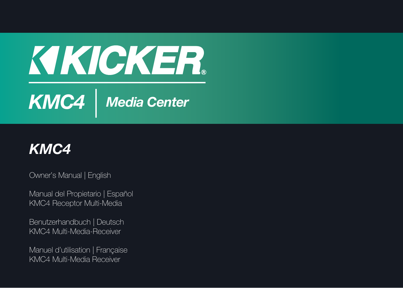# KIKICKER. *KMC4 Media Center*



Owner's Manual | English

Manual del Propietario | Español KMC4 Receptor Multi-Media

Benutzerhandbuch | Deutsch KMC4 Multi-Media-Receiver

Manuel d'utilisation | Française KMC4 Multi-Media Receiver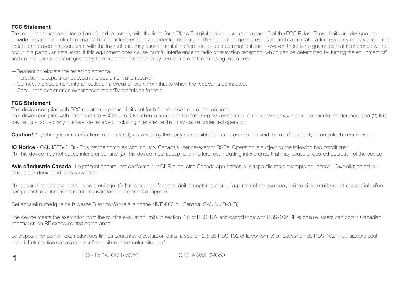#### **FCC Statement**

 This equipment has been tested and found to comply with the limits for a Class B digital device, pursuant to part 15 of the FCC Rules. These limits are designed to provide reasonable protection against harmful interference in a residential installation. This equipment generates, uses, and can radiate radio frequency energy and, if not installed and used in accordance with the instructions, may cause harmful interference to radio communications. However, there is no guarantee that interference will not occur in a particular installation. If this equipment does cause harmful interference to radio or television reception, which can be determined by turning the equipment off and on, the user is encouraged to try to correct the interference by one or more of the following measures:

- —Reorient or relocate the receiving antenna.
- —Increase the separation between the equipment and receiver.
- —Connect the equipment into an outlet on a circuit different from that to which the receiver is connected.
- —Consult the dealer or an experienced radio/TV technician for help.

#### **FCC Statement**

**1**

This device complies with FCC radiation exposure limits set forth for an uncontrolled environment.

This device complies with Part 15 of the FCC Rules. Operation is subject to the following two conditions: (1) this device may not cause harmful interference, and (2) this device must accept any interference received, including interference that may cause undesired operation.

**Caution!** Any changes or modifications not expressly approved by the party responsible for compliance could void the user's authority to operate the equipment.

**IC Notice** - CAN ICES-3 (B) - This device complies with Industry Canada's licence-exempt RSSs. Operation is subject to the following two conditions: (1) This device may not cause interference; and (2) This device must accept any interference, including interference that may cause undesired operation of the device.

Avis d'Industrie Canada - Le présent appareil est conforme aux CNR d'Industrie Canada applicables aux appareils radio exempts de licence. L'exploitation est autorisée aux deux conditions suivantes :

(1) l'appareil ne doit pas produire de brouillage; (2) l'utilisateur de l'appareil doit accepter tout brouillage radioélectrique subi, même si le brouillage est susceptible d'en compromettre le fonctionnement. mauvais fonctionnement de I'appareil.

Cet appareil numériquie de la classe B est conforme à la norme NMB-003 du Canada. CAN NMB-3 (B)

The device meets the exemption from the routine evaluation limits in section 2.5 of RSS 102 and compliance with RSS-102 RF exposure, users can obtain Canadian information on RF exposure and compliance.

Le dispositif rencontre l'exemption des limites courantes d'évaluation dans la section 2.5 de RSS 102 et la conformité à l'exposition de RSS-102 rf, utilisateurs peut obtenir l'information canadienne sur l'exposition et la conformité de rf.

FCC ID: 2ADQM-KMC50 IC ID: 24966-KMC50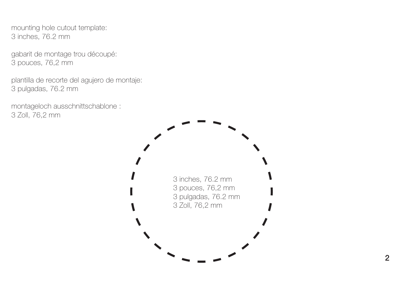mounting hole cutout template: 3 inches, 76.2 mm

gabarit de montage trou découpé: 3 pouces, 76,2 mm

plantilla de recorte del agujero de montaje: 3 pulgadas, 76.2 mm

montageloch ausschnittschablone : 3 Zoll, 76,2 mm

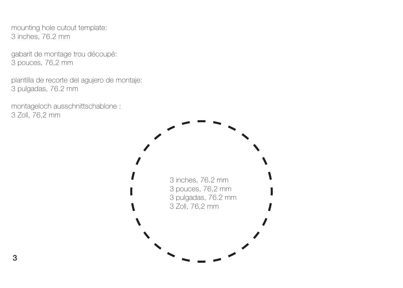mounting hole cutout template: 3 inches, 76.2 mm

gabarit de montage trou découpé: 3 pouces, 76,2 mm

plantilla de recorte del agujero de montaje: 3 pulgadas, 76.2 mm

montageloch ausschnittschablone : 3 Zoll, 76,2 mm

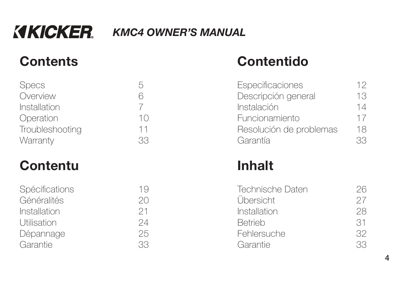# *KMC4 OWNER'S MANUAL*

# **Contents**

| <b>Specs</b>    | ŗ  |
|-----------------|----|
| Overview        | 6  |
| Installation    |    |
| Operation       | 10 |
| Troubleshooting | 11 |
| Warranty        |    |

# **Contentu**

| Spécifications<br>19 |    |
|----------------------|----|
| Généralités          | 20 |
| Installation         | 21 |
| <b>Utilisation</b>   | 24 |
| Dépannage            | 25 |
| Garantie             | R  |

# **Contentido**

| Especificaciones        | 12 |
|-------------------------|----|
| Descripción general     | 13 |
| Instalación             | 14 |
| Funcionamiento          | 17 |
| Resolución de problemas | 18 |
| Garantía                | 33 |
|                         |    |

# **Inhalt**

| Technische Daten | 26 |
|------------------|----|
| Übersicht        | 27 |
| Installation     | 28 |
| <b>Betrieb</b>   | 31 |
| Fehlersuche      | 32 |
| Garantie         | 33 |

**4**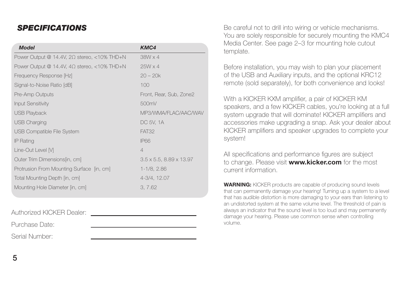## *SPECIFICATIONS*

| <b>Model</b>                                       | KMC4                                   |
|----------------------------------------------------|----------------------------------------|
| Power Output @ 14.4V, $2\Omega$ stereo, <10% THD+N | $38W \times 4$                         |
| Power Output @ 14.4V, $4\Omega$ stereo, <10% THD+N | $25W \times 4$                         |
| Frequency Response [Hz]                            | $20 - 20k$                             |
| Signal-to-Noise Ratio [dB]                         | 100                                    |
| Pre-Amp Outputs                                    | Front, Rear, Sub, Zone2                |
| <b>Input Sensitivity</b>                           | 500mV                                  |
| <b>USB Playback</b>                                | MP3/WMA/FLAC/AAC/WAV                   |
| <b>USB Charging</b>                                | DC 5V, 1A                              |
| USB Compatible File System                         | FAT32                                  |
| IP Rating                                          | <b>IP66</b>                            |
| Line-Out Level M                                   | $\overline{4}$                         |
| Outer Trim Dimensions[in, cm]                      | $3.5 \times 5.5$ , $8.89 \times 13.97$ |
| Protrusion From Mounting Surface [in, cm]          | 1-1/8, 2.86                            |
| Total Mounting Depth [in, cm]                      | 4-3/4, 12.07                           |
| Mounting Hole Diameter [in, cm]                    | 3, 7.62                                |

Authorized KICKER Dealer:Purchase Date:

Serial Number:

Be careful not to drill into wiring or vehicle mechanisms. You are solely responsible for securely mounting the KMC4 Media Center. See page 2–3 for mounting hole cutout template.

Before installation, you may wish to plan your placement of the USB and Auxiliary inputs, and the optional KRC12 remote (sold separately), for both convenience and looks!

With a KICKER KXM amplifier, a pair of KICKER KM speakers, and a few KICKER cables, you're looking at a full system upgrade that will dominate! KICKER amplifiers and accessories make upgrading a snap. Ask your dealer about KICKER amplifiers and speaker upgrades to complete your system!

All specifications and performance figures are subject to change. Please visit **www.kicker.com** for the most current information.

**WARNING:** KICKER products are capable of producing sound levels that can permanently damage your hearing! Turning up a system to a level that has audible distortion is more damaging to your ears than listening to an undistorted system at the same volume level. The threshold of pain is always an indicator that the sound level is too loud and may permanently damage your hearing. Please use common sense when controlling volume.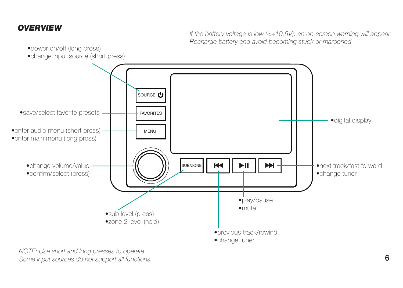## *OVERVIEW*

If the battery voltage is low (<+10.5V), an on-screen warning will appear. Recharge battery and avoid becoming stuck or marooned.

- •power on/off (long press)
- •change input source (short press)



NOTE: Use short and long presses to operate. Some input sources do not support all functions.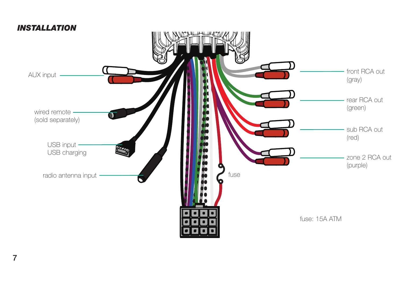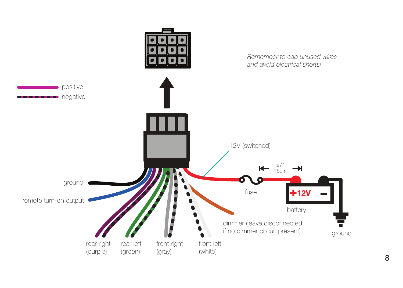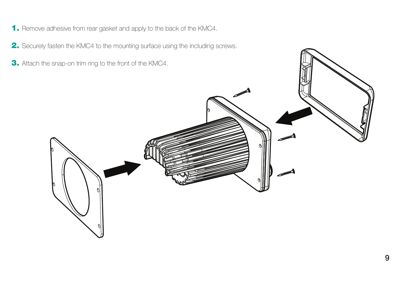- **1.** Remove adhesive from rear gasket and apply to the back of the KMC4.
- **2.** Securely fasten the KMC4 to the mounting surface using the including screws.
- **3.** Attach the snap-on trim ring to the front of the KMC4.

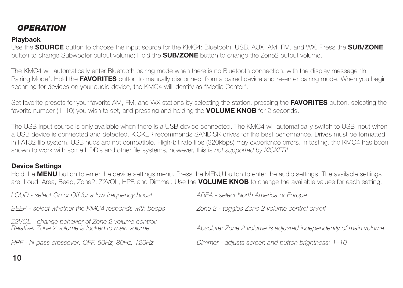## *OPERATION*

## **Playback**

Use the **SOURCE** button to choose the input source for the KMC4: Bluetooth, USB, AUX, AM, FM, and WX. Press the **SUB/ZONE** button to change Subwoofer output volume; Hold the **SUB/ZONE** button to change the Zone2 output volume.

The KMC4 will automatically enter Bluetooth pairing mode when there is no Bluetooth connection, with the display message "In Pairing Mode". Hold the **FAVORITES** button to manually disconnect from a paired device and re-enter pairing mode. When you begin scanning for devices on your audio device, the KMC4 will identify as "Media Center".

Set favorite presets for your favorite AM, FM, and WX stations by selecting the station, pressing the **FAVORITES** button, selecting the favorite number (1–10) you wish to set, and pressing and holding the **VOLUME KNOB** for 2 seconds.

The USB input source is only available when there is a USB device connected. The KMC4 will automatically switch to USB input when a USB device is connected and detected. KICKER recommends SANDISK drives for the best performance. Drives must be formatted in FAT32 file system. USB hubs are not compatible. High-bit rate files (320kbps) may experience errors. In testing, the KMC4 has been shown to work with some HDD's and other file systems, however, this is not supported by KICKER!

## **Device Settings**

Hold the **MENU** button to enter the device settings menu. Press the MENU button to enter the audio settings. The available settings are: Loud, Area, Beep, Zone2, Z2VOL, HPF, and Dimmer. Use the **VOLUME KNOB** to change the available values for each setting.

| LOUD - select On or Off for a low frequency boost                                                      | AREA - select North America or Europe                            |
|--------------------------------------------------------------------------------------------------------|------------------------------------------------------------------|
| BEEP - select whether the KMC4 responds with beeps                                                     | Zone 2 - toggles Zone 2 volume control on/off                    |
| Z2VOL - change behavior of Zone 2 volume control:<br>Relative: Zone 2 volume is locked to main volume. | Absolute: Zone 2 volume is adjusted independently of main volume |
| HPF - hi-pass crossover: OFF, 50Hz, 80Hz, 120Hz                                                        | Dimmer - adjusts screen and button brightness: 1-10              |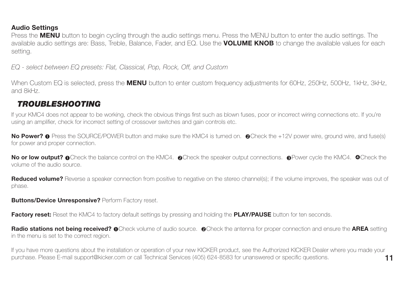## **Audio Settings**

Press the **MENU** button to begin cycling through the audio settings menu. Press the MENU button to enter the audio settings. The available audio settings are: Bass, Treble, Balance, Fader, and EQ. Use the **VOLUME KNOB** to change the available values for each setting.

EQ - select between EQ presets: Flat, Classical, Pop, Rock, Off, and Custom

When Custom EQ is selected, press the **MENU** button to enter custom frequency adjustments for 60Hz, 250Hz, 500Hz, 1kHz, 3kHz, and 8kHz.

## *TROUBLESHOOTING*

If your KMC4 does not appear to be working, check the obvious things first such as blown fuses, poor or incorrect wiring connections etc. If you're using an amplifier, check for incorrect setting of crossover switches and gain controls etc.

**No Power?** • Press the SOURCE/POWER button and make sure the KMC4 is turned on. • Check the +12V power wire, ground wire, and fuse(s) for power and proper connection.

No or low output? **O**Check the balance control on the KMC4. @Check the speaker output connections. @Power cycle the KMC4. @Check the volume of the audio source.

**Reduced volume?** Reverse a speaker connection from positive to negative on the stereo channel(s); if the volume improves, the speaker was out of phase.

**Buttons/Device Unresponsive?** Perform Factory reset.

**Factory reset:** Reset the KMC4 to factory default settings by pressing and holding the **PLAY/PAUSE** button for ten seconds.

**Radio stations not being received? @**Check volume of audio source. @Check the antenna for proper connection and ensure the **AREA** setting in the menu is set to the correct region.

**11**If you have more questions about the installation or operation of your new KICKER product, see the Authorized KICKER Dealer where you made your purchase. Please E-mail support@kicker.com or call Technical Services (405) 624-8583 for unanswered or specific questions.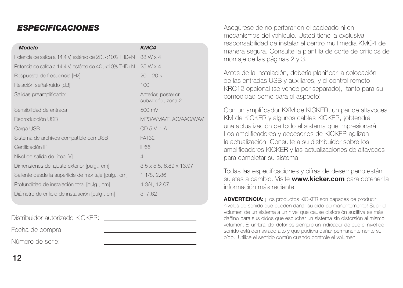## *ESPECIFICACIONES*

| <b>Modelo</b>                                                   | KMC4                                      |
|-----------------------------------------------------------------|-------------------------------------------|
| Potencia de salida a 14.4 V, estéreo de 2Ω, <10% THD+N          | 38 W x 4                                  |
| Potencia de salida a 14.4 V, estéreo de 4 $\Omega$ , <10% THD+N | 25 W x 4                                  |
| Respuesta de frecuencia [Hz]                                    | $20 - 20k$                                |
| Relación señal-ruido [dB]                                       | 100                                       |
| Salidas preamplificador                                         | Anterior, posterior,<br>subwoofer, zona 2 |
| Sensibilidad de entrada                                         | 500 mV                                    |
| Reproducción USB                                                | MP3/WMA/FLAC/AAC/WAV                      |
| Carga USB                                                       | CD 5 V. 1 A                               |
| Sistema de archivos compatible con USB                          | FAT32                                     |
| Certificación IP                                                | <b>IP66</b>                               |
| Nivel de salida de línea M                                      | $\overline{4}$                            |
| Dimensiones del ajuste exterior [pulg., cm]                     | $3.5 \times 5.5$ , $8.89 \times 13.97$    |
| Saliente desde la superficie de montaje [pulg., cm]             | 1 1/8, 2.86                               |
| Profundidad de instalación total [pulg., cm]                    | 4 3/4, 12.07                              |
| Diámetro de orificio de instalación [pulg., cm]                 | 3, 7.62                                   |

Distribuidor autorizado KICKER:

Fecha de compra:

Número de serie:

Asegúrese de no perforar en el cableado ni en mecanismos del vehículo. Usted tiene la exclusiva responsabilidad de instalar el centro multimedia KMC4 de manera segura. Consulte la plantilla de corte de orificios de montaje de las páginas 2 y 3.

Antes de la instalación, debería planificar la colocación de las entradas USB y auxiliares, y el control remoto KRC12 opcional (se vende por separado), ¡tanto para su comodidad como para el aspecto!

Con un amplificador KXM de KICKER, un par de altavoces KM de KICKER y algunos cables KICKER, ¡obtendrá una actualización de todo el sistema que impresionará! Los amplificadores y accesorios de KICKER agilizan la actualización. Consulte a su distribuidor sobre los amplificadores KICKER y las actualizaciones de altavoces para completar su sistema.

Todas las especificaciones y cifras de desempeño están sujetas a cambio. Visite **www.kicker.com** para obtener la información más reciente.

**ADVERTENCIA:** ¡Los productos KICKER son capaces de producir niveles de sonido que pueden dañar su oído permanentemente! Subir el volumen de un sistema a un nivel que cause distorsión auditiva es más dañino para sus oídos que escuchar un sistema sin distorsión al mismo volumen. El umbral del dolor es siempre un indicador de que el nivel de sonido está demasiado alto y que pudiera dañar permanentemente su oído. Utilice el sentido común cuando controle el volumen.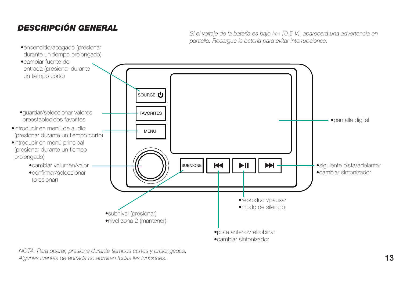## *DESCRIPCIÓN GENERAL*

Si el voltaje de la batería es bajo (<+10.5 V), aparecerá una advertencia en pantalla. Recargue la batería para evitar interrupciones.



NOTA: Para operar, presione durante tiempos cortos y prolongados. Algunas fuentes de entrada no admiten todas las funciones.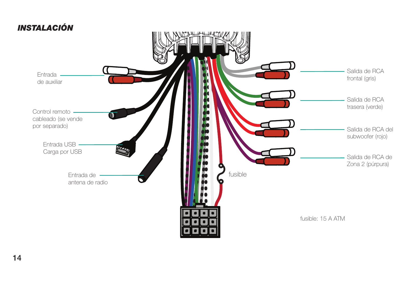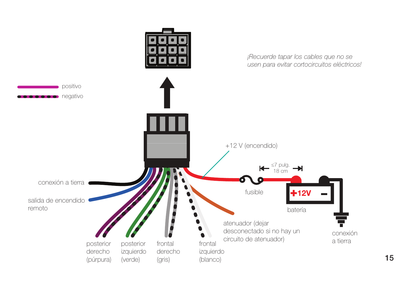

**15**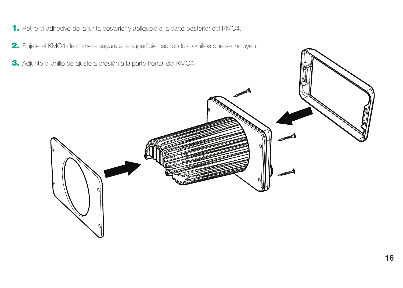- **1.** Retire el adhesivo de la junta posterior y aplíquelo a la parte posterior del KMC4.
- **2.** Sujete el KMC4 de manera segura a la superficie usando los tornillos que se incluyen.
- **3.** Adjunte el anillo de ajuste a presión a la parte frontal del KMC4.

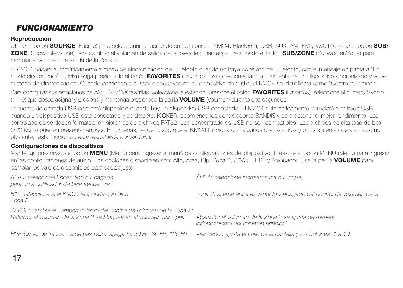## *FUNCIONAMIENTO*

## **Reproducción**

Utilice el botón **SOURCE** (Fuente) para seleccionar la fuente de entrada para el KMC4: Bluetooth, USB, AUX, AM, FM y WX. Presione el botón **SUB/ ZONE** (Subwoofer/Zone) para cambiar el volumen de salida del subwoofer; mantenga presionado el botón **SUB/ZONE** (Subwoofer/Zone) para cambiar el volumen de salida de la Zona 2.

El KMC4 pasará automáticamente a modo de sincronización de Bluetooth cuando no haya conexión de Bluetooth, con el mensaje en pantalla "En modo sincronización". Mantenga presionado el botón **FAVORITES** (Favoritos) para desconectar manualmente de un dispositivo sincronizado y volver al modo de sincronización. Cuando comience a buscar dispositivos en su dispositivo de audio, el KMC4 se identificará como "Centro multimedia".

Para configurar sus estaciones de AM, FM y WX favoritas, seleccione la estación, presione el botón FAVORITES (Favoritos), seleccione el número favorito (1–10) que desea asignar y presione y mantenga presionada la perilla **VOLUME** (Volumen) durante dos segundos.

La fuente de entrada USB solo está disponible cuando hay un dispositivo USB conectado. El KMC4 automáticamente cambiará a entrada USB cuando un dispositivo USB esté conectado y se detecte. KICKER recomienda los controladores SANDISK para obtener el mejor rendimiento. Los controladores se deben formatear en sistemas de archivos FAT32. Los concentradores USB no son compatibles. Los archivos de alta tasa de bits (320 kbps) pueden presentar errores. En pruebas, se demostró que el KMC4 funciona con algunos discos duros y otros sistemas de archivos; no obstante, jesta función no está respaldada por KICKER!

## **Confi guraciones de dispositivos**

Mantenga presionado el botón **MENU** (Menú) para ingresar al menú de configuraciones del dispositivo. Presione el botón MENU (Menú) para ingresar en las configuraciones de audio. Los opciones disponibles son: Alto, Área, Bip, Zona 2, Z2VOL, HPF y Atenuador. Use la perilla **VOLUME** para cambiar los valores disponibles para cada ajuste.

| ALTO: seleccione Encendido o Apagado<br>para un amplificador de baja frecuencia                                                               | AREA: seleccione Norteamérica o Europa.                                                      |
|-----------------------------------------------------------------------------------------------------------------------------------------------|----------------------------------------------------------------------------------------------|
| BIP: seleccione si el KMC4 responde con bips<br>Zona 2                                                                                        | Zona 2: alterna entre encendido y apagado del control de volumen de la                       |
| Z2VOL: cambia el comportamiento del control de volumen de la Zona 2:<br>Relativo: el volumen de la Zona 2 se bloquea en el volumen principal. | Absoluto: el volumen de la Zona 2 se ajusta de manera<br>independiente del volumen principal |
| HPF (divisor de frecuencia de paso alto): apagado, 50 Hz, 80 Hz, 120 Hz                                                                       | Atenuador: ajusta el brillo de la pantalla y los botones, 1 a 10                             |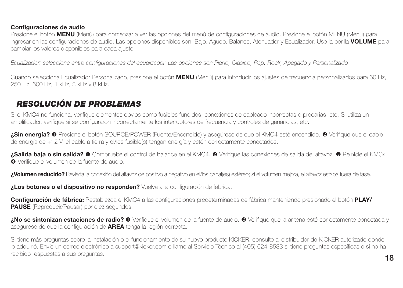#### **Confi guraciones de audio**

Presione el botón **MENU** (Menú) para comenzar a ver las opciones del menú de configuraciones de audio. Presione el botón MENU (Menú) para ingresar en las configuraciones de audio. Las opciones disponibles son: Bajo, Agudo, Balance, Atenuador y Ecualizador. Use la perilla **VOLUME** para cambiar los valores disponibles para cada ajuste.

Ecualizador: seleccione entre configuraciones del ecualizador. Las opciones son Plano, Clásico, Pop, Rock, Apagado y Personalizado

Cuando selecciona Ecualizador Personalizado, presione el botón **MENU** (Menú) para introducir los ajustes de frecuencia personalizados para 60 Hz, 250 Hz, 500 Hz, 1 kHz, 3 kHz y 8 kHz.

## *RESOLUCIÓN DE PROBLEMAS*

Si el KMC4 no funciona, verifique elementos obvios como fusibles fundidos, conexiones de cableado incorrectas o precarias, etc. Si utiliza un amplificador, verifique si se configuraron incorrectamente los interruptores de frecuencia y controles de ganancias, etc.

**¿Sin energía? O** Presione el botón SOURCE/POWER (Fuente/Encendido) y asegúrese de que el KMC4 esté encendido. <sup>@</sup> Verifique que el cable de energía de +12 V, el cable a tierra y el/los fusible(s) tengan energía y estén correctamente conectados.

**¿Salida baja o sin salida? ©** Compruebe el control de balance en el KMC4. © Verifique las conexiones de salida del altavoz. © Reinicie el KMC4. **O** Verifique el volumen de la fuente de audio.

**¿Volumen reducido?** Revierta la conexión del altavoz de positivo a negativo en el/los canal(es) estéreo; si el volumen mejora, el altavoz estaba fuera de fase.

**¿Los botones o el dispositivo no responden?** Vuelva a la configuración de fábrica.

**Configuración de fábrica:** Restablezca el KMC4 a las configuraciones predeterminadas de fábrica manteniendo presionado el botón **PLAY/ PAUSE** (Reproducir/Pausar) por diez segundos.

**¿No se sintonizan estaciones de radio? <sup>O</sup>** Verifique el volumen de la fuente de audio. <sup>O</sup> Verifique que la antena esté correctamente conectada y asegúrese de que la configuración de **AREA** tenga la región correcta.

Si tiene más preguntas sobre la instalación o el funcionamiento de su nuevo producto KICKER, consulte al distribuidor de KICKER autorizado donde lo adquirió. Envíe un correo electrónico a support@kicker.com o llame al Servicio Técnico al (405) 624-8583 si tiene preguntas específicas o si no ha recibido respuestas a sus preguntas.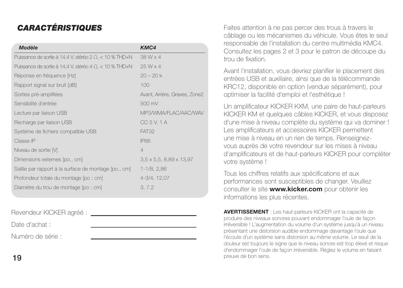## *CARACTÉRISTIQUES*

| Modèle                                                         | KMC4                               |
|----------------------------------------------------------------|------------------------------------|
| Puissance de sortie à 14,4 V, stéréo 2 $\Omega$ , < 10 % THD+N | 38 W x 4                           |
| Puissance de sortie à 14,4 V, stéréo 4 $\Omega$ , < 10 % THD+N | $25W \times 4$                     |
| Réponse en fréquence [Hz]                                      | $20 - 20k$                         |
| Rapport signal sur bruit [dB]                                  | 100                                |
| Sorties pré-amplifiées                                         | Avant, Arrière, Graves, Zone2      |
| Sensibilité d'entrée                                           | 500 mV                             |
| Lecture par liaison USB                                        | MP3/WMA/FLAC/AAC/WAV               |
| Recharge par liaison USB                                       | CC 5 V, 1 A                        |
| Système de fichiers compatible USB                             | FAT32                              |
| Classe IP                                                      | <b>IP66</b>                        |
| Niveau de sortie [V]                                           | $\overline{4}$                     |
| Dimensions externes [po., cm]                                  | $3,5 \times 5,5,8,89 \times 13,97$ |
| Saillie par rapport à la surface de montage [po., cm]          | $1-1/8, 2,86$                      |
| Profondeur totale du montage [po ; cm]                         | 4-3/4, 12.07                       |
| Diamètre du trou de montage [po ; cm]                          | 3, 7, 2                            |

Revendeur KICKER agréé :

Date d'achat :

Numéro de série :

Faites attention à ne pas percer des trous à travers le câblage ou les mécanismes du véhicule. Vous êtes le seul responsable de l'installation du centre multimédia KMC4. Consultez les pages 2 et 3 pour le patron de découpe du trou de fixation

Avant l'installation, vous devriez planifier le placement des entrées USB et auxiliaire, ainsi que de la télécommande KRC12, disponible en option (vendue séparément), pour optimiser la facilité d'emploi et l'esthétique !

Un amplificateur KICKER KXM, une paire de haut-parleurs KICKER KM et quelques câbles KICKER, et vous disposez d'une mise à niveau complète du système qui va dominer ! Les amplificateurs et accessoires KICKER permettent une mise à niveau en un rien de temps. Renseignezvous auprès de votre revendeur sur les mises à niveau d'amplificateurs et de haut-parleurs KICKER pour compléter votre système !

Tous les chiffres relatifs aux spécifications et aux performances sont susceptibles de changer. Veuillez consulter le site **www.kicker.com** pour obtenir les informations les plus récentes.

**AVERTISSEMENT** : Les haut-parleurs KICKER ont la capacité de produire des niveaux sonores pouvant endommager l'ouïe de façon irréversible ! L'augmentation du volume d'un système jusqu'à un niveau présentant une distorsion audible endommage davantage l'ouïe que l'écoute d'un système sans distorsion au même volume. Le seuil de la douleur est toujours le signe que le niveau sonore est trop élevé et risque d'endommager l'ouïe de façon irréversible. Réglez le volume en faisant preuve de bon sens.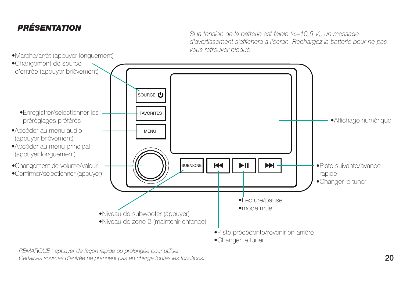## *PRÉSENTATION*

Si la tension de la batterie est faible (<+10,5 V), un message d'avertissement s'affichera à l'écran. Rechargez la batterie pour ne pas vous retrouver bloqué.



REMARQUE : appuyer de façon rapide ou prolongée pour utiliser.

Certaines sources d'entrée ne prennent pas en charge toutes les fonctions.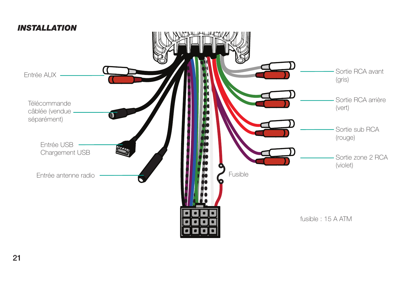

## **21**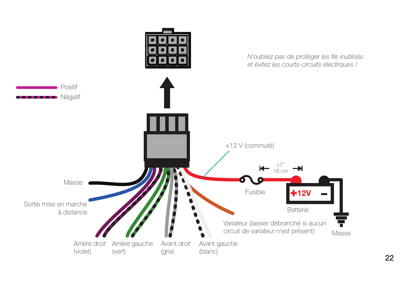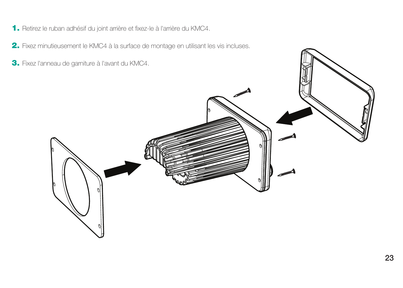- **1.** Retirez le ruban adhésif du joint arrière et fixez-le à l'arrière du KMC4.
- **2.** Fixez minutieusement le KMC4 à la surface de montage en utilisant les vis incluses.
- **3.** Fixez l'anneau de garniture à l'avant du KMC4.

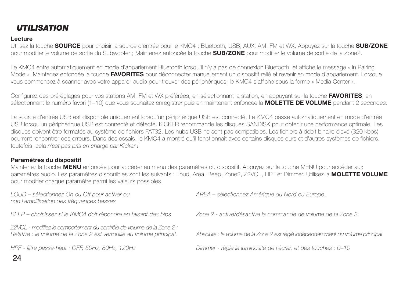## *UTILISATION*

#### **Lecture**

 Utilisez la touche **SOURCE** pour choisir la source d'entrée pour le KMC4 : Bluetooth, USB, AUX, AM, FM et WX. Appuyez sur la touche **SUB/ZONE** pour modifier le volume de sortie du Subwoofer : Maintenez enfoncée la touche **SUB/ZONE** pour modifier le volume de sortie de la Zone2.

Le KMC4 entre automatiquement en mode d'appariement Bluetooth lorsqu'il n'y a pas de connexion Bluetooth, et affiche le message « In Pairing Mode ». Maintenez enfoncée la touche **FAVORITES** pour déconnecter manuellement un dispositif relié et revenir en mode d'appariement. Lorsque vous commencez à scanner avec votre appareil audio pour trouver des périphériques, le KMC4 s'affiche sous la forme « Media Center ».

Configurez des préréglages pour vos stations AM, FM et WX préférées, en sélectionnant la station, en appuyant sur la touche FAVORITES, en sélectionnant le numéro favori (1–10) que vous souhaitez enregistrer puis en maintenant enfoncée la **MOLETTE DE VOLUME** pendant 2 secondes.

La source d'entrée USB est disponible uniquement lorsqu'un périphérique USB est connecté. Le KMC4 passe automatiquement en mode d'entrée USB lorsqu'un périphérique USB est connecté et détecté. KICKER recommande les disques SANDISK pour obtenir une performance optimale. Les disques doivent être formatés au système de fichiers FAT32. Les hubs USB ne sont pas compatibles. Les fichiers à débit binaire élevé (320 kbps) pourront rencontrer des erreurs. Dans des essais, le KMC4 a montré qu'il fonctionnait avec certains disques durs et d'autres systèmes de fichiers, toutefois, cela n'est pas pris en charge par Kicker !

### **Paramètres du dispositif**

Maintenez la touche **MENU** enfoncée pour accéder au menu des paramètres du dispositif. Appuyez sur la touche MENU pour accéder aux paramètres audio. Les paramètres disponibles sont les suivants : Loud, Area, Beep, Zone2, Z2VOL, HPF et Dimmer. Utilisez la **MOLETTE VOLUME** pour modifier chaque paramètre parmi les valeurs possibles.

non l'amplification des fréquences basses

BEEP – choisissez si le KMC4 doit répondre en faisant des bips Zone 2 - active/désactive la commande de volume de la Zone 2.

Z2VOL - modifiez le comportement du contrôle de volume de la Zone 2 :<br>Relative : le volume de la Zone 2 est verrouillé au volume principal.

LOUD – sélectionnez On ou Off pour activer ou AREA – sélectionnez Amérique du Nord ou Europe.

Absolute : le volume de la Zone 2 est réglé indépendamment du volume principal.

HPF - fi ltre passe-haut : OFF, 50Hz, 80Hz, 120Hz Dimmer - règle la luminosité de l'écran et des touches : 0–10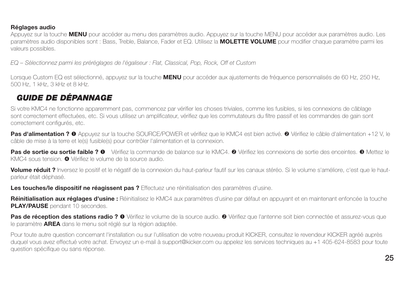### **Réglages audio**

Appuyez sur la touche **MENU** pour accéder au menu des paramètres audio. Appuyez sur la touche MENU pour accéder aux paramètres audio. Les paramètres audio disponibles sont : Bass, Treble, Balance, Fader et EQ. Utilisez la **MOLETTE VOLUME** pour modifier chaque paramètre parmi les valeurs possibles.

EQ – Sélectionnez parmi les préréglages de l'égaliseur : Flat, Classical, Pop, Rock, Off et Custom

Lorsque Custom EQ est sélectionné, appuyez sur la touche **MENU** pour accéder aux ajustements de fréquence personnalisés de 60 Hz, 250 Hz, 500 Hz, 1 kHz, 3 kHz et 8 kHz.

## *GUIDE DE DÉPANNAGE*

Si votre KMC4 ne fonctionne apparemment pas, commencez par vérifier les choses triviales, comme les fusibles, si les connexions de câblage sont correctement effectuées, etc. Si vous utilisez un amplificateur, vérifiez que les commutateurs du filtre passif et les commandes de gain sont correctement configurés, etc.

Pas d'alimentation ? <sup>O</sup> Appuyez sur la touche SOURCE/POWER et vérifiez que le KMC4 est bien activé. <sup>O</sup> Vérifiez le câble d'alimentation +12 V, le câble de mise à la terre et le(s) fusible(s) pour contrôler l'alimentation et la connexion.

Pas de sortie ou sortie faible ? O vérifiez la commande de balance sur le KMC4. **©** Vérifiez les connexions de sortie des enceintes. **©** Mettez le KMC4 sous tension. <sup>O</sup> Vérifiez le volume de la source audio.

**Volume réduit ?** Inversez le positif et le négatif de la connexion du haut-parleur fautif sur les canaux stéréo. Si le volume s'améliore, c'est que le hautparleur était déphasé.

Les touches/le dispositif ne réagissent pas ? Effectuez une réinitialisation des paramètres d'usine.

**Réinitialisation aux réglages d'usine :** Réinitialisez le KMC4 aux paramètres d'usine par défaut en appuyant et en maintenant enfoncée la touche **PLAY/PAUSE** pendant 10 secondes.

Pas de réception des stations radio ? <sup>O</sup> Vérifiez le volume de la source audio. <sup>*O*</sup> Vérifiez que l'antenne soit bien connectée et assurez-vous que le paramètre **AREA** dans le menu soit réglé sur la région adaptée.

Pour toute autre question concernant l'installation ou sur l'utilisation de votre nouveau produit KICKER, consultez le revendeur KICKER agréé auprès duquel vous avez effectué votre achat. Envoyez un e-mail à support@kicker.com ou appelez les services techniques au +1 405-624-8583 pour toute question spécifique ou sans réponse.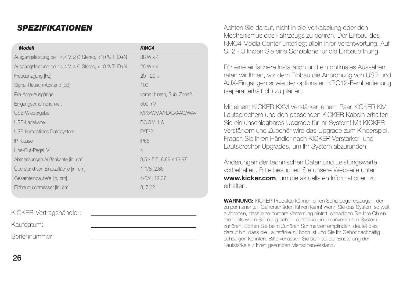## *SPEZIFIKATIONEN*

| <b>Modell</b>                                        | KMC4                                   |
|------------------------------------------------------|----------------------------------------|
| Ausgangsleistung bei 14,4 V, 2 Ω Stereo, <10 % THD+N | 38 W x 4                               |
| Ausgangsleistung bei 14,4 V, 4 Ω Stereo, <10 % THD+N | $25W \times 4$                         |
| Frequenzgang [Hz]                                    | $20 - 20k$                             |
| Signal-Rausch-Abstand [dB]                           | 100                                    |
| Pre-Amp-Ausgänge                                     | vome, hinten, Sub, Zone2               |
| Eingangsempfindlichkeit                              | 500 mV                                 |
| USB-Wiedergabe                                       | MP3/WMA/FLAC/AAC/WAV                   |
| USB-Ladekabel                                        | DC 5 V. 1 A                            |
| USB-kompatibles Dateisystem                          | FAT32                                  |
| IP-Klasse                                            | <b>IP66</b>                            |
| Line-Out-Pegel M                                     | $\overline{4}$                         |
| Abmessungen Außenkante [in, cm]                      | $3,5 \times 5,5$ , $8,89 \times 13,97$ |
| Überstand von Einbaufläche [in, cm]                  | 1-1/8, 2,86                            |
| Gesamteinbautiefe [in, cm]                           | 4-3/4, 12.07                           |
| Einbaudurchmesser [in; cm]                           | 3, 7, 62                               |

KICKER-Vertragshändler:

Kaufdatum:

Seriennummer:

Achten Sie darauf, nicht in die Verkabelung oder den Mechanismus des Fahrzeugs zu bohren. Der Einbau des KMC4 Media Center unterliegt allein Ihrer Verantwortung. Auf S. 2 - 3 fi nden Sie eine Schablone für die Einbauöffnung.

Für eine einfachere Installation und ein optimales Aussehen raten wir Ihnen, vor dem Einbau die Anordnung von USB und AUX-Eingängen sowie der optionalen KRC12-Fernbedienung (separat erhältlich) zu planen.

Mit einem KICKER KXM Verstärker, einem Paar KICKER KM Lautsprechern und den passenden KICKER Kabeln erhalten Sie ein unschlagbares Upgrade für Ihr System! Mit KICKER Verstärkern und Zubehör wird das Upgrade zum Kinderspiel. Fragen Sie Ihren Händler nach KICKER Verstärker- und Lautsprecher-Upgrades, um Ihr System abzurunden!

Änderungen der technischen Daten und Leistungswerte vorbehalten. Bitte besuchen Sie unsere Webseite unter **www.kicker.com**, um die aktuellsten Informationen zu erhalten.

**WARNUNG:** KICKER-Produkte können einen Schallpegel erzeugen, der zu permanenten Gehörschäden führen kann! Wenn Sie das System so weit aufdrehen, dass eine hörbare Verzerrung eintritt, schädigen Sie Ihre Ohren mehr, als wenn Sie bei gleicher Lautstärke einem unverzerrten System zuhören. Sollten Sie beim Zuhören Schmerzen empfinden, deutet dies darauf hin, dass die Lautstärke zu hoch ist und Sie Ihr Gehör nachhaltig schädigen könnten. Bitte verlassen Sie sich bei der Einstellung der Lautstärke auf Ihren gesunden Menschenverstand.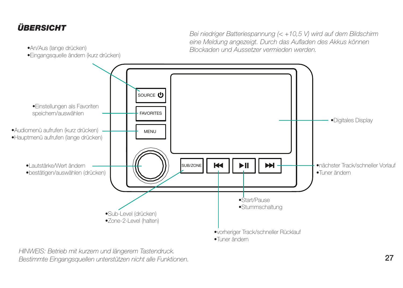## *ÜBERSICHT*

•An/Aus (lange drücken)

Bei niedriger Batteriespannung (< +10,5 V) wird auf dem Bildschirm eine Meldung angezeigt. Durch das Aufladen des Akkus können Blockaden und Aussetzer vermieden werden.



HINWEIS: Betrieb mit kurzem und längerem Tastendruck. Bestimmte Eingangsquellen unterstützen nicht alle Funktionen.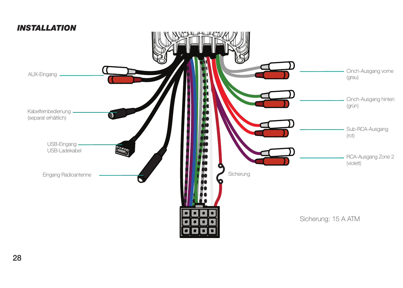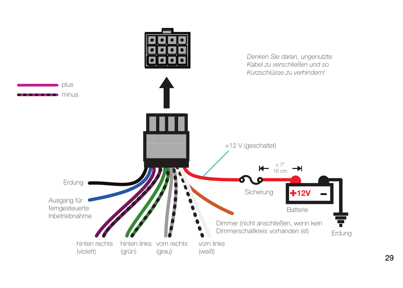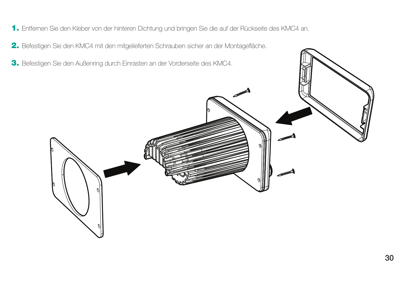- **1.** Entfernen Sie den Kleber von der hinteren Dichtung und bringen Sie die auf der Rückseite des KMC4 an.
- 2. Befestigen Sie den KMC4 mit den mitgelieferten Schrauben sicher an der Montagefläche.
- **3.** Befestigen Sie den Außenring durch Einrasten an der Vorderseite des KMC4.

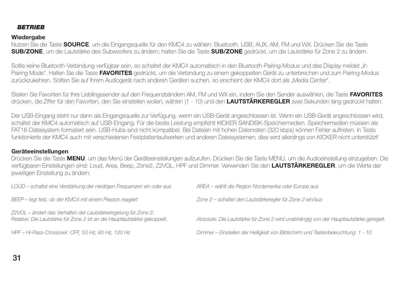#### *BETRIEB*

### **Wiedergabe**

Nutzen Sie die Taste **SOURCE**, um die Eingangsquelle für den KMC4 zu wählen: Bluetooth, USB, AUX, AM, FM und WX. Drücken Sie die Taste **SUB/ZONE**, um die Lautstärke des Subwoofers zu ändern; halten Sie die Taste **SUB/ZONE** gedrückt, um die Lautstärke für Zone 2 zu ändern.

Sollte keine Bluetooth-Verbindung verfügbar sein, so schaltet der KMC4 automatisch in den Bluetooth-Pairing-Modus und das Display meldet "In Pairing Mode". Halten Sie die Taste **FAVORITES** gedrückt, um die Verbindung zu einem gekoppelten Gerät zu unterbrechen und zum Pairing-Modus zurückzukehren. Sollten Sie auf Ihrem Audiogerät nach anderen Geräten suchen, so erscheint der KMC4 dort als "Media Center".

Stellen Sie Favoriten für Ihre Lieblingssender auf den Frequenzbändern AM, FM und WX ein, indem Sie den Sender auswählen, die Taste **FAVORITES** drücken, die Ziffer für den Favoriten, den Sie einstellen wollen, wählen (1 - 10) und den **LAUTSTÄRKEREGLER** zwei Sekunden lang gedrückt halten.

Der USB-Eingang steht nur dann als Eingangsquelle zur Verfügung, wenn ein USB-Gerät angeschlossen ist. Wenn ein USB-Gerät angeschlossen wird, schaltet der KMC4 automatisch auf USB-Eingang. Für die beste Leistung empfiehlt KICKER SANDISK-Speichermedien. Speichermedien müssen als FAT16-Dateisystem formatiert sein. USB-Hubs sind nicht kompatibel. Bei Dateien mit hohen Datenraten (320 kbps) können Fehler auftreten. In Tests funktionierte der KMC4 auch mit verschiedenen Festplattenlaufwerken und anderen Dateisystemen; dies wird allerdings von KICKER nicht unterstützt!

### **Geräteeinstellungen**

Drücken Sie die Taste **MENU**, um das Menü der Geräteeinstellungen aufzurufen. Drücken Sie die Taste MENU, um die Audioeinstellung einzugeben. Die verfügbaren Einstellungen sind: Loud, Area, Beep, Zone2, Z2VOL, HPF und Dimmer. Verwenden Sie den **LAUTSTÄRKEREGLER**, um die Werte der jeweiligen Einstellung zu ändern.

| LOUD - schaltet eine Verstärkung der niedrigen Frequenzen ein oder aus                                                                       | AREA - wählt die Region Nordamerika oder Europa aus                                   |
|----------------------------------------------------------------------------------------------------------------------------------------------|---------------------------------------------------------------------------------------|
| BEEP - legt fest, ob der KMC4 mit einem Piepton reagiert                                                                                     | Zone 2 - schaltet den Lautstärkeregler für Zone 2 ein/aus                             |
| Z2VOL – ändert das Verhalten der Lautstärkeregelung für Zone 2:<br>Relative: Die Lautstärke für Zone 2 ist an die Hauptlautstärke gekoppelt. | Absolute: Die Lautstärke für Zone 2 wird unabhängig von der Hauptlautstärke geregelt. |
| HPF - Hi-Pass-Crossover: OFF, 50 Hz, 80 Hz, 120 Hz                                                                                           | Dimmer - Einstellen der Helligkeit von Bildschirm und Tastenbeleuchtung: 1 - 10       |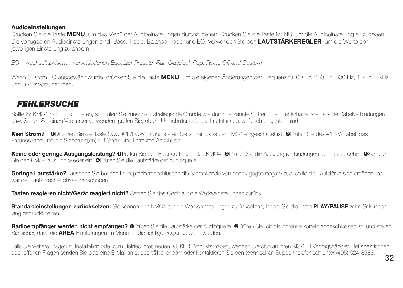#### **Audioeinstellungen**

Drücken Sie die Taste **MENU**, um das Menü der Audioeinstellungen durchzugehen. Drücken Sie die Taste MENU, um die Audioeinstellung einzugeben. Die verfügbaren Audioeinstellungen sind: Bass, Treble, Balance, Fader und EQ. Verwenden Sie den **LAUTSTÄRKEREGLER**, um die Werte der jeweiligen Einstellung zu ändern.

EQ – wechselt zwischen verschiedenen Equalizer-Presets: Flat, Classical, Pop, Rock, Off und Custom

Wenn Custom EQ ausgewählt wurde, drücken Sie die Taste **MENU**, um die eigenen Änderungen der Frequenz für 60 Hz, 250 Hz, 500 Hz, 1 kHz, 3 kHz und 8 kHz vorzunehmen.

## *FEHLERSUCHE*

Sollte Ihr KMC4 nicht funktionieren, so prüfen Sie zunächst naheliegende Gründe wie durchgebrannte Sicherungen, fehlerhafte oder falsche Kabelverbindungen usw. Sollten Sie einen Verstärker verwenden, prüfen Sie, ob ein Umschalter oder die Lautstärke usw. falsch eingestellt sind.

**Kein Strom?**Drücken Sie die Taste SOURCE/POWER und stellen Sie sicher, dass der KMC4 eingeschaltet ist. Prüfen Sie das +12-V-Kabel, das Erdungskabel und die Sicherung(en) auf Strom und korrekten Anschluss.

Keine oder geringe Ausgangsleistung? OPrüfen Sie den Balance-Regler des KMC4. OPrüfen Sie die Ausgangsverbindungen der Lautsprecher. OSchalten Sie den KMC4 aus und wieder ein. <sup>Op</sup>rüfen Sie die Lautstärke der Audioquelle.

**Geringe Lautstärke?** Tauschen Sie bei den Lautsprecheranschlüssen die Stereokanäle von positiv gegen negativ aus; sollte die Lautstärke sich erhöhen, so war der Lautsprecher phasenverschoben.

**Tasten reagieren nicht/Gerät reagiert nicht?** Setzen Sie das Gerät auf die Werkseinstellungen zurück.

**Standardeinstellungen zurücksetzen:** Sie können den KMC4 auf die Werkseinstellungen zurücksetzen, indem Sie die Taste **PLAY/PAUSE** zehn Sekunden lang gedrückt halten.

**Radioempfänger werden nicht empfangen?** Prüfen Sie die Lautstärke der Audioquelle. Prüfen Sie, ob die Antenne korrekt angeschlossen ist, und stellen Sie sicher, dass die **AREA**-Einstellungen im Menü für die richtige Region gewählt wurden.

Falls Sie weitere Fragen zu Installation oder zum Betrieb Ihres neuen KICKER Produkts haben, wenden Sie sich an Ihren KICKER Vertragshändler. Bei spezifi schen oder offenen Fragen senden Sie bitte eine E-Mail an support@kicker.com oder kontaktieren Sie den technischen Support telefonisch unter (405) 624-8583.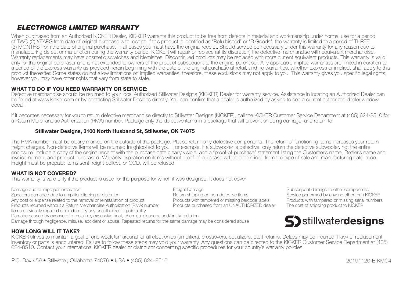## *ELECTRONICS LIMITED WARRANTY*

When purchased from an Authorized KICKER Dealer, KICKER warrants this product to be free from defects in material and workmanship under normal use for a period of TWO (2) YEARS from date of original purchase with receipt. If this product is identified as "Refurbished" or "B Goods", the warranty is limited to a period of THREE (3) MONTHS from the date of original purchase. In all cases you must have the original receipt. Should service be necessary under this warranty for any reason due to manufacturing defect or malfunction during the warranty period, KICKER will repair or replace (at its discretion) the defective merchandise with equivalent merchandise. Warranty replacements may have cosmetic scratches and blemishes. Discontinued products may be replaced with more current equivalent products. This warranty is valid only for the original purchaser and is not extended to owners of the product subsequent to the original purchaser. Any applicable implied warranties are limited in duration to a period of the express warranty as provided herein beginning with the date of the original purchase at retail, and no warranties, whether express or implied, shall apply to this product thereafter. Some states do not allow limitations on implied warranties; therefore, these exclusions may not apply to you. This warranty gives you specifi c legal rights; however you may have other rights that vary from state to state.

#### **WHAT TO DO IF YOU NEED WARRANTY OR SERVICE:**

 Defective merchandise should be returned to your local Authorized Stillwater Designs (KICKER) Dealer for warranty service. Assistance in locating an Authorized Dealer can be found at www.kicker.com or by contacting Stillwater Designs directly. You can confirm that a dealer is authorized by asking to see a current authorized dealer window decal.

If it becomes necessary for you to return defective merchandise directly to Stillwater Designs (KICKER), call the KICKER Customer Service Department at (405) 624-8510 for a Return Merchandise Authorization (RMA) number. Package only the defective items in a package that will prevent shipping damage, and return to:

#### **Stillwater Designs, 3100 North Husband St, Stillwater, OK 74075**

The RMA number must be clearly marked on the outside of the package. Please return only defective components. The return of functioning items increases your return freight charges. Non-defective items will be returned freightcollect to you. For example, if a subwoofer is defective, only return the defective subwoofer, not the entire enclosure. Include a copy of the original receipt with the purchase date clearly visible, and a "proof-of-purchase" statement listing the Customer's name, Dealer's name and invoice number, and product purchased. Warranty expiration on items without proof-of-purchase will be determined from the type of sale and manufacturing date code. Freight must be prepaid; items sent freight-collect, or COD, will be refused.

#### **WHAT IS NOT COVERED?**

This warranty is valid only if the product is used for the purpose for which it was designed. It does not cover:

Damage due to improper installation installation of the component of the Subsequent damage Subsequent Damage to the components.<br>Desiliers damaged due to amalifier clipping or distortion from the Health Damage to the Subsec Speakers damaged due to amplifier distortion Return shipping on non-defective items Service performed due to a<br>Speakers damaged by anyone of the stortion of the Service of the Service of the Service performed by anyone of Any cost or expense related to the removal or reinstallation of product Products with tampered or missing barcode labels Products with tampered or missing serial Products with tampered or missing serial numbers Products or Products returned without a Return Merchandise Authorization (RMA) number Items previously repaired or modified by any unauthorized repair facility Damage caused by exposure to moisture, excessive heat, chemical cleaners, and/or UV radiation

Damage through negligence, misuse, accident or abuse. Repeated returns for the same damage may be considered abuse

#### **HOW LONG WILL IT TAKE?**



KICKER strives to maintain a goal of one week turnaround for all electronics (amplifiers, crossovers, equalizers, etc.) returns. Delays may be incurred if lack of replacement inventory or parts is encountered. Failure to follow these steps may void your warranty. Any questions can be directed to the KICKER Customer Service Department at (405) 624-8510. Contact your International KICKER dealer or distributor concerning specifi c procedures for your country's warranty policies.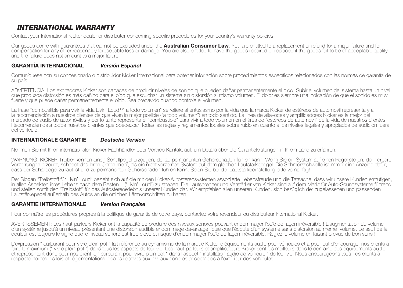## *INTERNATIONAL WARRANTY*

Contact your International Kicker dealer or distributor concerning specific procedures for your country's warranty policies.

Our goods come with guarantees that cannot be excluded under the **Australian Consumer Law**. You are entitled to a replacement or refund for a major failure and for compensation for any other reasonably foreseeable loss or damage. You are also entitled to have the goods repaired or replaced if the goods fail to be of acceptable quality and the failure does not amount to a major failure.

#### **GARANTÍA INTERNACIONAL** *Versión Español*

Comuníquese con su concesionario o distribuidor Kicker internacional para obtener infor ación sobre procedimientos específicos relacionados con las normas de garantía de su país.

ADVERTENCIA: Los excitadores Kicker son capaces de producir niveles de sonido que pueden dañar permanentemente el oído. Subir el volumen del sistema hasta un nivel que produzca distorsión es más dañino para el oído que escuchar un sistema sin distorsión al mismo volumen. El dolor es siempre una indicación de que el sonido es muy fuerte y que puede dañar permanentemente el oído. Sea precavido cuando controle el volumen.

La frase "combustible para vivir la vida Livin' Loud™ a todo volumen" se refiere al entusiasmo por la vida que la marca Kicker de estéreos de automóvil representa y a la recomendación a nuestros clientes de que vivan lo mejor posible ("a todo volumen") en todo sentido. La línea de altavoces y amplificadores Kicker es la mejor del mercado de audio de automóviles y por lo tanto representa el "combustible" para vivir a todo volumen en el área de "estéreos de automóvil" de la vida de nuestros clientes. Recomendamos a todos nuestros clientes que obedezcan todas las reglas y reglamentos locales sobre ruido en cuanto a los niveles legales y apropiados de audición fuera del vehículo.

#### **INTERNATIONALE GARANTIE** *Deutsche Version*

Nehmen Sie mit Ihren internationalen Kicker-Fachhändler oder Vertrieb Kontakt auf, um Details über die Garantieleistungen in Ihrem Land zu erfahren.

WARNUNG: KICKER-Treiber können einen Schallpegel erzeugen, der zu permanenten Gehörschäden führen kann! Wenn Sie ein System auf einen Pegel stellen, der hörbare Verzerrungen erzeugt, schadet das Ihren Ohren mehr, als ein nicht verzerrtes System auf dem gleichen Lautstärkepegel. Die Schmerzschwelle ist immer eine Anzeige dafür, dass der Schallpegel zu laut ist und zu permanenten Gehörschäden führen kann. Seien Sie bei der Lautstärkeeinstellung bitte vernünftig!

Der Slogan "Treibstoff für Livin' Loud" bezieht sich auf die mit den Kicker-Autostereosystemen assoziierte Lebensfreude und die Tatsache, dass wir unsere Kunden ermutigen, in allen Aspekten ihres Lebens nach dem Besten ("Livin' Loud") zu streben. Die Lautsprecher und Verstärker von Kicker sind auf dem Markt für Auto-Soundsysteme führend und stellen somit den "Treibstoff" für das Autostereoerlebnis unserer Kunden dar. Wir empfehlen allen unseren Kunden, sich bezüglich der zugelassenen und passenden Lautstärkepegel außerhalb des Autos an die örtlichen Lärmvorschriften zu halten.

#### **GARANTIE INTERNATIONALE***Version Française*

Pour connaître les procédures propres à la politique de garantie de votre pays, contactez votre revendeur ou distributeur International Kicker.

AVERTISSEMENT: Les haut-parleurs Kicker ont la capacité de produire des niveaux sonores pouvant endommager l'ouïe de façon irréversible ! L'augmentation du volume d'un système jusqu'à un niveau présentant une distorsion audible endommage davantage l'ouïe que l'écoute d'un système sans distorsion au même volume. Le seuil de la douleur est toujours le signe que le niveau sonore est trop élevé et risque d'endommager l'ouïe de façon irréversible. Réglez le volume en faisant prevue de bon sens !

L'expression " carburant pour vivre plein pot " fait référence au dynamisme de la marque Kicker d'équipements audio pour véhicules et a pour but d'encourager nos clients à faire le maximum (" vivre plein pot ") dans tous les aspects de leur vie. Les haut-parleurs et amplificateurs Kicker sont les meilleurs dans le domaine des équipements audio. et représentent donc pour nos client le " carburant pour vivre plein pot " dans l'aspect " installation audio de véhicule " de leur vie. Nous encourageons tous nos clients à respecter toutes les lois et réglementations locales relatives aux niveaux sonores acceptables à l'extérieur des véhicules.